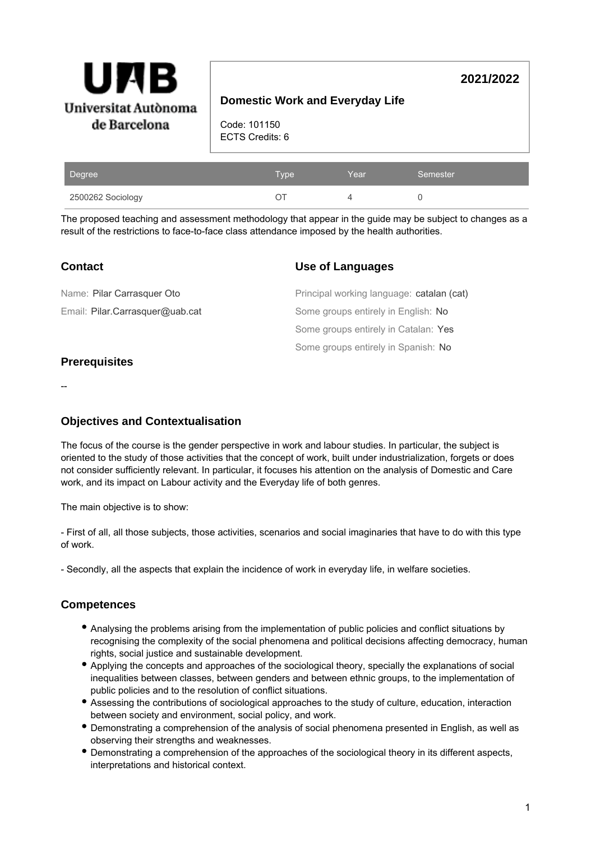

# **Domestic Work and Everyday Life**

**2021/2022**

Code: 101150 ECTS Credits: 6

| Degree            | Type | Year | Semester |
|-------------------|------|------|----------|
| 2500262 Sociology |      |      |          |

The proposed teaching and assessment methodology that appear in the guide may be subject to changes as a result of the restrictions to face-to-face class attendance imposed by the health authorities.

| <b>Contact</b>                  | <b>Use of Languages</b>                   |  |
|---------------------------------|-------------------------------------------|--|
| Name: Pilar Carrasquer Oto      | Principal working language: catalan (cat) |  |
| Email: Pilar.Carrasquer@uab.cat | Some groups entirely in English: No       |  |
|                                 | Some groups entirely in Catalan: Yes      |  |
|                                 | Some groups entirely in Spanish: No       |  |

## **Prerequisites**

--

## **Objectives and Contextualisation**

The focus of the course is the gender perspective in work and labour studies. In particular, the subject is oriented to the study of those activities that the concept of work, built under industrialization, forgets or does not consider sufficiently relevant. In particular, it focuses his attention on the analysis of Domestic and Care work, and its impact on Labour activity and the Everyday life of both genres.

The main objective is to show:

- First of all, all those subjects, those activities, scenarios and social imaginaries that have to do with this type of work.

- Secondly, all the aspects that explain the incidence of work in everyday life, in welfare societies.

## **Competences**

- Analysing the problems arising from the implementation of public policies and conflict situations by recognising the complexity of the social phenomena and political decisions affecting democracy, human rights, social justice and sustainable development.
- Applying the concepts and approaches of the sociological theory, specially the explanations of social inequalities between classes, between genders and between ethnic groups, to the implementation of public policies and to the resolution of conflict situations.
- Assessing the contributions of sociological approaches to the study of culture, education, interaction between society and environment, social policy, and work.
- Demonstrating a comprehension of the analysis of social phenomena presented in English, as well as observing their strengths and weaknesses.
- Demonstrating a comprehension of the approaches of the sociological theory in its different aspects, interpretations and historical context.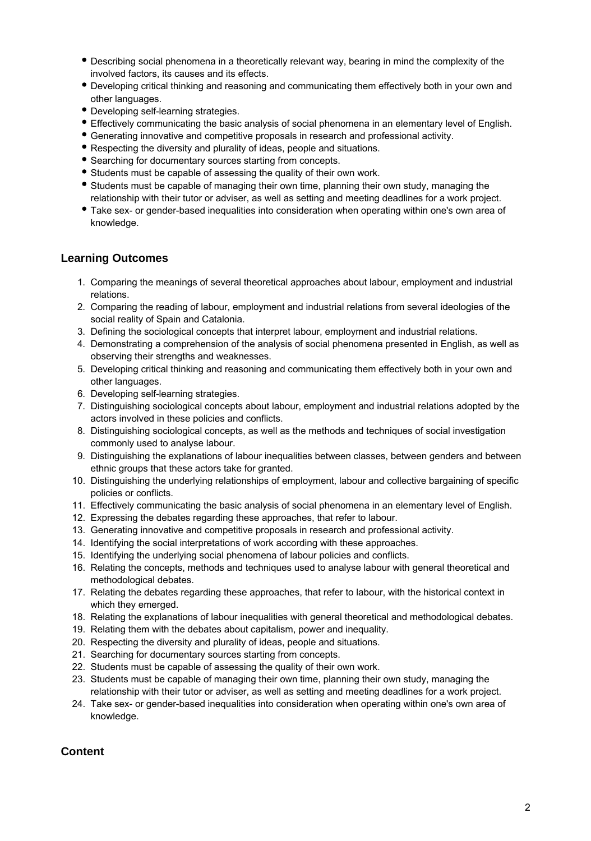- Describing social phenomena in a theoretically relevant way, bearing in mind the complexity of the involved factors, its causes and its effects.
- Developing critical thinking and reasoning and communicating them effectively both in your own and other languages.
- Developing self-learning strategies.
- Effectively communicating the basic analysis of social phenomena in an elementary level of English.
- Generating innovative and competitive proposals in research and professional activity.
- Respecting the diversity and plurality of ideas, people and situations.
- Searching for documentary sources starting from concepts.
- Students must be capable of assessing the quality of their own work.
- Students must be capable of managing their own time, planning their own study, managing the relationship with their tutor or adviser, as well as setting and meeting deadlines for a work project.
- Take sex- or gender-based inequalities into consideration when operating within one's own area of knowledge.

## **Learning Outcomes**

- 1. Comparing the meanings of several theoretical approaches about labour, employment and industrial relations.
- 2. Comparing the reading of labour, employment and industrial relations from several ideologies of the social reality of Spain and Catalonia.
- 3. Defining the sociological concepts that interpret labour, employment and industrial relations.
- 4. Demonstrating a comprehension of the analysis of social phenomena presented in English, as well as observing their strengths and weaknesses.
- 5. Developing critical thinking and reasoning and communicating them effectively both in your own and other languages.
- 6. Developing self-learning strategies.
- 7. Distinguishing sociological concepts about labour, employment and industrial relations adopted by the actors involved in these policies and conflicts.
- 8. Distinguishing sociological concepts, as well as the methods and techniques of social investigation commonly used to analyse labour.
- 9. Distinguishing the explanations of labour inequalities between classes, between genders and between ethnic groups that these actors take for granted.
- 10. Distinguishing the underlying relationships of employment, labour and collective bargaining of specific policies or conflicts.
- 11. Effectively communicating the basic analysis of social phenomena in an elementary level of English.
- 12. Expressing the debates regarding these approaches, that refer to labour.
- 13. Generating innovative and competitive proposals in research and professional activity.
- 14. Identifying the social interpretations of work according with these approaches.
- 15. Identifying the underlying social phenomena of labour policies and conflicts.
- 16. Relating the concepts, methods and techniques used to analyse labour with general theoretical and methodological debates.
- 17. Relating the debates regarding these approaches, that refer to labour, with the historical context in which they emerged.
- 18. Relating the explanations of labour inequalities with general theoretical and methodological debates.
- 19. Relating them with the debates about capitalism, power and inequality.
- 20. Respecting the diversity and plurality of ideas, people and situations.
- 21. Searching for documentary sources starting from concepts.
- 22. Students must be capable of assessing the quality of their own work.
- 23. Students must be capable of managing their own time, planning their own study, managing the relationship with their tutor or adviser, as well as setting and meeting deadlines for a work project.
- 24. Take sex- or gender-based inequalities into consideration when operating within one's own area of knowledge.

## **Content**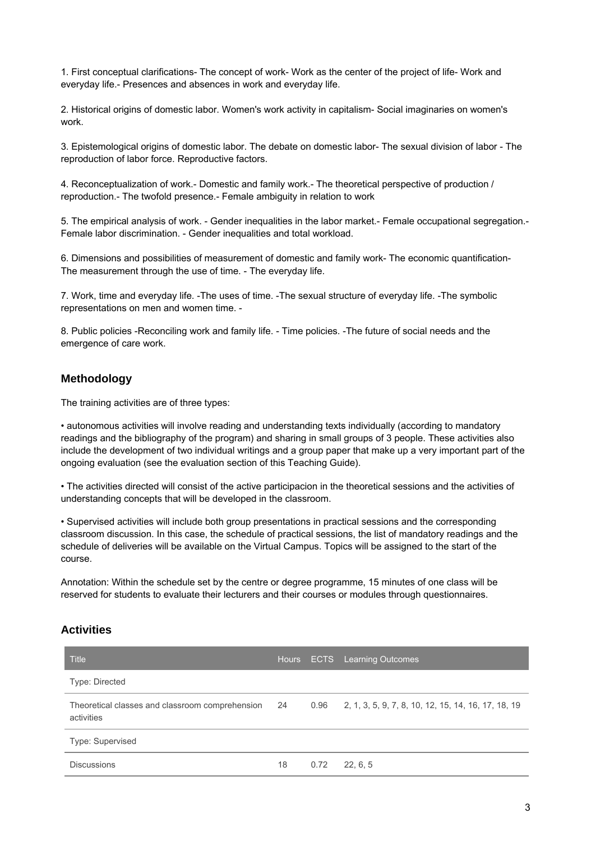1. First conceptual clarifications- The concept of work- Work as the center of the project of life- Work and everyday life.- Presences and absences in work and everyday life.

2. Historical origins of domestic labor. Women's work activity in capitalism- Social imaginaries on women's work.

3. Epistemological origins of domestic labor. The debate on domestic labor- The sexual division of labor - The reproduction of labor force. Reproductive factors.

4. Reconceptualization of work.- Domestic and family work.- The theoretical perspective of production / reproduction.- The twofold presence.- Female ambiguity in relation to work

5. The empirical analysis of work. - Gender inequalities in the labor market.- Female occupational segregation.- Female labor discrimination. - Gender inequalities and total workload.

6. Dimensions and possibilities of measurement of domestic and family work- The economic quantification-The measurement through the use of time. - The everyday life.

7. Work, time and everyday life. -The uses of time. -The sexual structure of everyday life. -The symbolic representations on men and women time. -

8. Public policies -Reconciling work and family life. - Time policies. -The future of social needs and the emergence of care work.

### **Methodology**

The training activities are of three types:

• autonomous activities will involve reading and understanding texts individually (according to mandatory readings and the bibliography of the program) and sharing in small groups of 3 people. These activities also include the development of two individual writings and a group paper that make up a very important part of the ongoing evaluation (see the evaluation section of this Teaching Guide).

• The activities directed will consist of the active participacion in the theoretical sessions and the activities of understanding concepts that will be developed in the classroom.

• Supervised activities will include both group presentations in practical sessions and the corresponding classroom discussion. In this case, the schedule of practical sessions, the list of mandatory readings and the schedule of deliveries will be available on the Virtual Campus. Topics will be assigned to the start of the course.

Annotation: Within the schedule set by the centre or degree programme, 15 minutes of one class will be reserved for students to evaluate their lecturers and their courses or modules through questionnaires.

## **Activities**

| <b>Title</b>                                                     |    |      | Hours ECTS Learning Outcomes                             |
|------------------------------------------------------------------|----|------|----------------------------------------------------------|
| Type: Directed                                                   |    |      |                                                          |
| Theoretical classes and classroom comprehension 24<br>activities |    |      | 0.96 2, 1, 3, 5, 9, 7, 8, 10, 12, 15, 14, 16, 17, 18, 19 |
| Type: Supervised                                                 |    |      |                                                          |
| <b>Discussions</b>                                               | 18 | 0.72 | 22.6.5                                                   |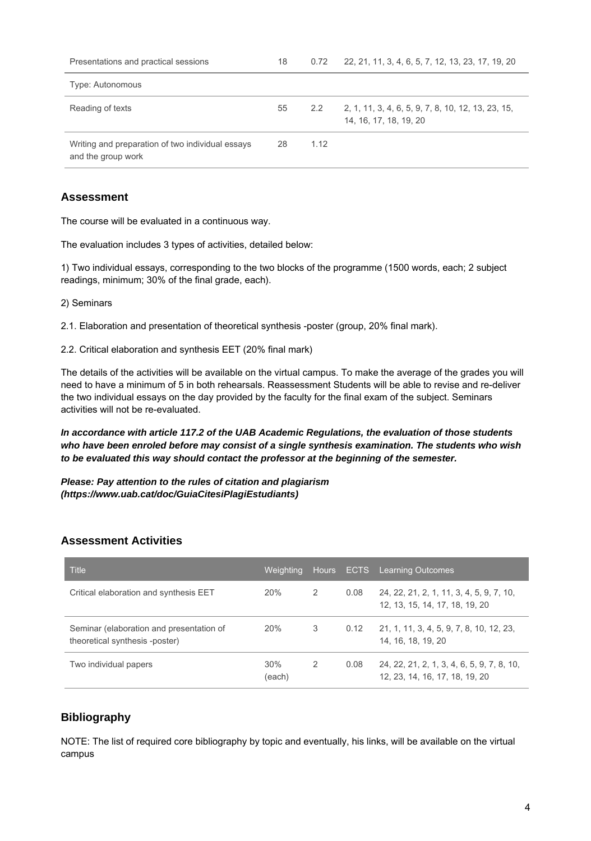| Presentations and practical sessions                                   | 18 | 0.72          | 22, 21, 11, 3, 4, 6, 5, 7, 12, 13, 23, 17, 19, 20                            |
|------------------------------------------------------------------------|----|---------------|------------------------------------------------------------------------------|
| Type: Autonomous                                                       |    |               |                                                                              |
| Reading of texts                                                       | 55 | $2.2^{\circ}$ | 2, 1, 11, 3, 4, 6, 5, 9, 7, 8, 10, 12, 13, 23, 15,<br>14, 16, 17, 18, 19, 20 |
| Writing and preparation of two individual essays<br>and the group work | 28 | 1.12          |                                                                              |

## **Assessment**

The course will be evaluated in a continuous way.

The evaluation includes 3 types of activities, detailed below:

1) Two individual essays, corresponding to the two blocks of the programme (1500 words, each; 2 subject readings, minimum; 30% of the final grade, each).

2) Seminars

2.1. Elaboration and presentation of theoretical synthesis -poster (group, 20% final mark).

2.2. Critical elaboration and synthesis EET (20% final mark)

The details of the activities will be available on the virtual campus. To make the average of the grades you will need to have a minimum of 5 in both rehearsals. Reassessment Students will be able to revise and re-deliver the two individual essays on the day provided by the faculty for the final exam of the subject. Seminars activities will not be re-evaluated.

**In accordance with article 117.2 of the UAB Academic Regulations, the evaluation of those students who have been enroled before may consist of a single synthesis examination. The students who wish to be evaluated this way should contact the professor at the beginning of the semester.**

**Please: Pay attention to the rules of citation and plagiarism (https://www.uab.cat/doc/GuiaCitesiPlagiEstudiants)**

## **Assessment Activities**

| <b>Title</b>                                                               | Weighting     | Hours, |      | <b>ECTS</b> Learning Outcomes                                                |
|----------------------------------------------------------------------------|---------------|--------|------|------------------------------------------------------------------------------|
| Critical elaboration and synthesis EET                                     | 20%           | 2      | 0.08 | 24, 22, 21, 2, 1, 11, 3, 4, 5, 9, 7, 10,<br>12, 13, 15, 14, 17, 18, 19, 20   |
| Seminar (elaboration and presentation of<br>theoretical synthesis -poster) | 20%           | 3      | 0.12 | 21, 1, 11, 3, 4, 5, 9, 7, 8, 10, 12, 23,<br>14, 16, 18, 19, 20               |
| Two individual papers                                                      | 30%<br>(each) | 2      | 0.08 | 24, 22, 21, 2, 1, 3, 4, 6, 5, 9, 7, 8, 10,<br>12, 23, 14, 16, 17, 18, 19, 20 |

## **Bibliography**

NOTE: The list of required core bibliography by topic and eventually, his links, will be available on the virtual campus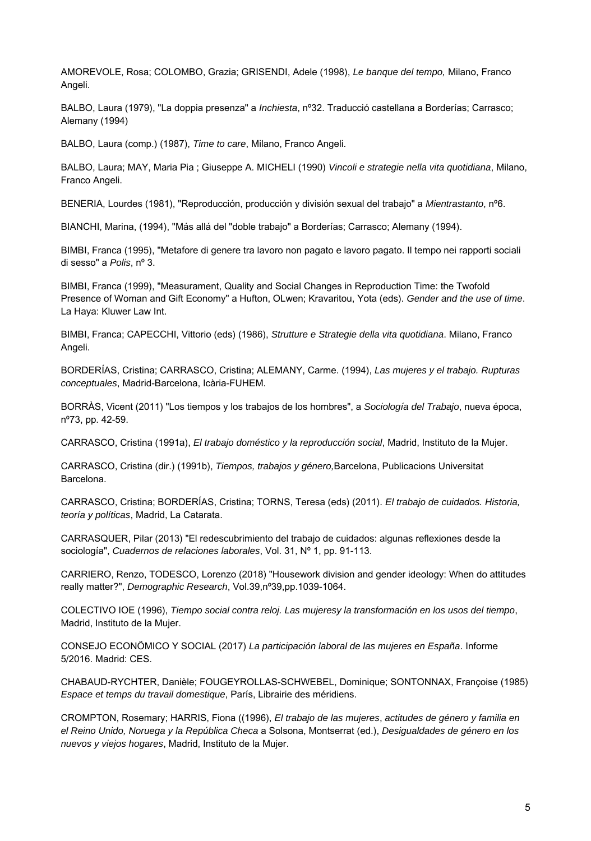AMOREVOLE, Rosa; COLOMBO, Grazia; GRISENDI, Adele (1998), Le banque del tempo, Milano, Franco Angeli.

BALBO, Laura (1979), "La doppia presenza" a *Inchiesta*, nº32. Traducció castellana a Borderías; Carrasco; Alemany (1994)

BALBO, Laura (comp.) (1987), Time to care, Milano, Franco Angeli.

BALBO, Laura; MAY, Maria Pia ; Giuseppe A. MICHELI (1990) Vincoli e strategie nella vita quotidiana, Milano, Franco Angeli.

BENERIA, Lourdes (1981), "Reproducción, producción y división sexual del trabajo" a Mientrastanto, nº6.

BIANCHI, Marina, (1994), "Más allá del "doble trabajo" a Borderías; Carrasco; Alemany (1994).

BIMBI, Franca (1995), "Metafore di genere tra lavoro non pagato e lavoro pagato. Il tempo nei rapporti sociali di sesso" a Polis, nº 3.

BIMBI, Franca (1999), "Measurament, Quality and Social Changes in Reproduction Time: the Twofold Presence of Woman and Gift Economy" a Hufton, OLwen; Kravaritou, Yota (eds). Gender and the use of time. La Haya: Kluwer Law Int.

BIMBI, Franca; CAPECCHI, Vittorio (eds) (1986), Strutture e Strategie della vita quotidiana. Milano, Franco Angeli.

BORDERÍAS, Cristina; CARRASCO, Cristina; ALEMANY, Carme. (1994), Las mujeres y el trabajo. Rupturas conceptuales, Madrid-Barcelona, Icària-FUHEM.

BORRÀS, Vicent (2011) "Los tiempos y los trabajos de los hombres", a Sociología del Trabajo, nueva época, nº73, pp. 42-59.

CARRASCO, Cristina (1991a), El trabajo doméstico y la reproducción social, Madrid, Instituto de la Mujer.

CARRASCO, Cristina (dir.) (1991b), Tiempos, trabajos y género, Barcelona, Publicacions Universitat Barcelona.

CARRASCO, Cristina; BORDERÍAS, Cristina; TORNS, Teresa (eds) (2011). El trabajo de cuidados. Historia, teoría y políticas, Madrid, La Catarata.

CARRASQUER, Pilar (2013) "El redescubrimiento del trabajo de cuidados: algunas reflexiones desde la sociología", Cuadernos de relaciones laborales, Vol. 31, Nº 1, pp. 91-113.

CARRIERO, Renzo, TODESCO, Lorenzo (2018) "Housework division and gender ideology: When do attitudes really matter?", Demographic Research, Vol.39,nº39,pp.1039-1064.

COLECTIVO IOE (1996), Tiempo social contra reloj. Las mujeresy la transformación en los usos del tiempo, Madrid, Instituto de la Mujer.

CONSEJO ECONÖMICO Y SOCIAL (2017) La participación laboral de las mujeres en España. Informe 5/2016. Madrid: CES.

CHABAUD-RYCHTER, Danièle; FOUGEYROLLAS-SCHWEBEL, Dominique; SONTONNAX, Françoise (1985) Espace et temps du travail domestique, París, Librairie des méridiens.

CROMPTON, Rosemary; HARRIS, Fiona ((1996), El trabajo de las mujeres, actitudes de género y familia en el Reino Unido, Noruega y la República Checa a Solsona, Montserrat (ed.), Desigualdades de género en los nuevos y viejos hogares, Madrid, Instituto de la Mujer.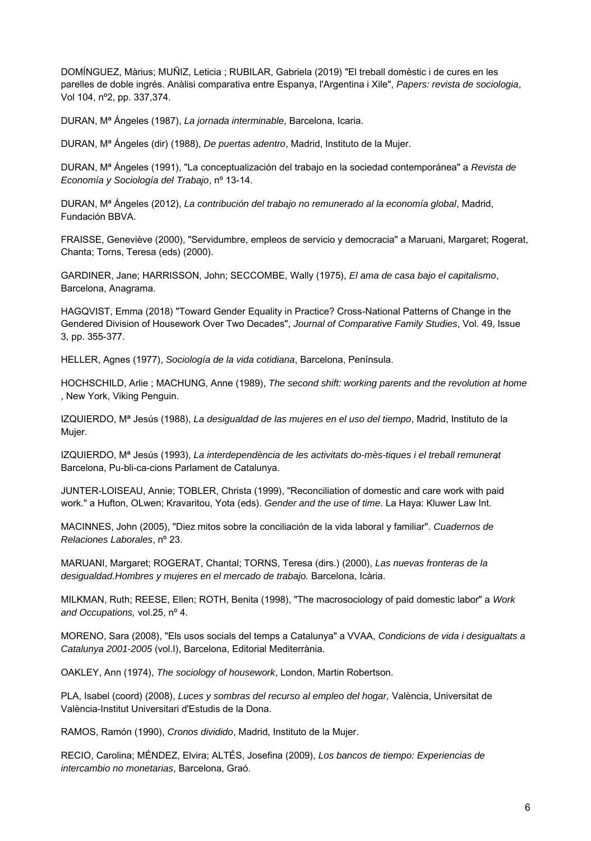DOMÍNGUEZ, Màrius; MUÑIZ, Leticia ; RUBILAR, Gabriela (2019) "El treball domèstic i de cures en les parelles de doble ingrés. Anàlisi comparativa entre Espanya, l'Argentina i Xile", Papers: revista de sociologia, Vol 104, nº2, pp. 337,374.

DURAN, Mª Ángeles (1987), La jornada interminable, Barcelona, Icaria.

DURAN, M<sup>a</sup> Ángeles (dir) (1988), *De puertas adentro*, Madrid, Instituto de la Mujer.

DURAN, M<sup>a</sup> Ángeles (1991), "La conceptualización del trabajo en la sociedad contemporánea" a Revista de Economía y Sociología del Trabajo, nº 13-14.

DURAN, M<sup>a</sup> Ángeles (2012), La contribución del trabajo no remunerado al la economía global, Madrid, Fundación BBVA.

FRAISSE, Geneviève (2000), "Servidumbre, empleos de servicio y democracia" a Maruani, Margaret; Rogerat, Chanta; Torns, Teresa (eds) (2000).

GARDINER, Jane; HARRISSON, John; SECCOMBE, Wally (1975), El ama de casa bajo el capitalismo, Barcelona, Anagrama.

HAGQVIST, Emma (2018) "Toward Gender Equality in Practice? Cross-National Patterns of Change in the Gendered Division of Housework Over Two Decades", Journal of Comparative Family Studies, Vol. 49, Issue 3, pp. 355-377.

HELLER, Agnes (1977), Sociología de la vida cotidiana, Barcelona, Península.

HOCHSCHILD, Arlie ; MACHUNG, Anne (1989), The second shift: working parents and the revolution at home , New York, Viking Penguin.

IZQUIERDO, Mª Jesús (1988), La desigualdad de las mujeres en el uso del tiempo, Madrid, Instituto de la Mujer.

IZQUIERDO, Mª Jesús (1993), La interdependència de les activitats do-mès-tiques i el treball remunerat Barcelona, Pu-bli-ca-cions Parlament de Catalunya.

JUNTER-LOISEAU, Annie; TOBLER, Christa (1999), "Reconciliation of domestic and care work with paid work." a Hufton, OLwen; Kravaritou, Yota (eds). Gender and the use of time. La Haya: Kluwer Law Int.

MACINNES, John (2005), "Diez mitos sobre la conciliación de la vida laboral y familiar". Cuadernos de Relaciones Laborales, nº 23.

MARUANI, Margaret; ROGERAT, Chantal; TORNS, Teresa (dirs.) (2000), Las nuevas fronteras de la desigualdad.Hombres y mujeres en el mercado de trabajo. Barcelona, Icària.

MILKMAN, Ruth; REESE, Ellen; ROTH, Benita (1998), "The macrosociology of paid domestic labor" a Work and Occupations, vol.25, nº 4.

MORENO, Sara (2008), "Els usos socials del temps a Catalunya" a VVAA, Condicions de vida i desigualtats a Catalunya 2001-2005 (vol.I), Barcelona, Editorial Mediterrània.

OAKLEY, Ann (1974), The sociology of housework, London, Martin Robertson.

PLA, Isabel (coord) (2008), Luces y sombras del recurso al empleo del hogar, València, Universitat de València-Institut Universitari d'Estudis de la Dona.

RAMOS, Ramón (1990), Cronos dividido, Madrid, Instituto de la Mujer.

RECIO, Carolina; MÉNDEZ, Elvira; ALTÉS, Josefina (2009), Los bancos de tiempo: Experiencias de intercambio no monetarias, Barcelona, Graó.